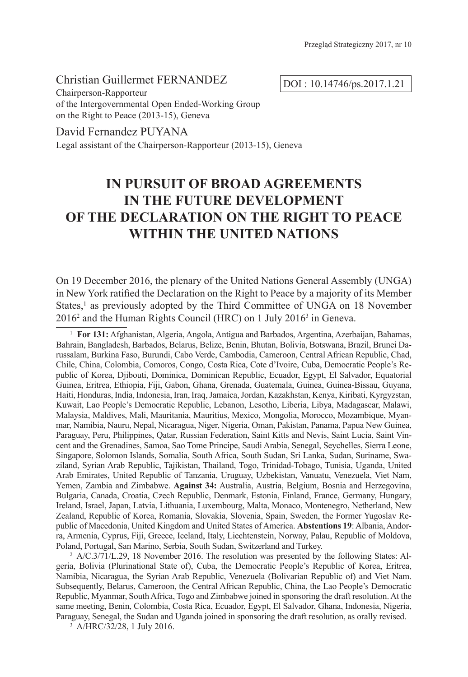## Christian Guillermet FERNANDEZ

DOI : 10.14746/ps.2017.1.21

Chairperson-Rapporteur of the Intergovernmental Open Ended-Working Group on the Right to Peace (2013-15), Geneva

### David Fernandez PUYANA

Legal assistant of the Chairperson-Rapporteur (2013-15), Geneva

# **IN PURSUIT OF BROAD AGREEMENTS IN THE FUTURE DEVELOPMENT OF THE DECLARATION ON THE RIGHT TO PEACE WITHIN THE UNITED NATIONS**

On 19 December 2016, the plenary of the United Nations General Assembly (UNGA) in New York ratified the Declaration on the Right to Peace by a majority of its Member States,<sup>1</sup> as previously adopted by the Third Committee of UNGA on 18 November 2016<sup>2</sup> and the Human Rights Council (HRC) on 1 July 2016<sup>3</sup> in Geneva.

 $2$  A/C.3/71/L.29, 18 November 2016. The resolution was presented by the following States: Algeria, Bolivia (Plurinational State of), Cuba, the Democratic People's Republic of Korea, Eritrea, Namibia, Nicaragua, the Syrian Arab Republic, Venezuela (Bolivarian Republic of) and Viet Nam. Subsequently, Belarus, Cameroon, the Central African Republic, China, the Lao People's Democratic Republic, Myanmar, South Africa, Togo and Zimbabwe joined in sponsoring the draft resolution. At the same meeting, Benin, Colombia, Costa Rica, Ecuador, Egypt, El Salvador, Ghana, Indonesia, Nigeria, Paraguay, Senegal, the Sudan and Uganda joined in sponsoring the draft resolution, as orally revised.

<sup>3</sup> A/HRC/32/28, 1 July 2016.

<sup>1</sup> **For 131:** Afghanistan, Algeria, Angola, Antigua and Barbados, Argentina, Azerbaijan, Bahamas, Bahrain, Bangladesh, Barbados, Belarus, Belize, Benin, Bhutan, Bolivia, Botswana, Brazil, Brunei Darussalam, Burkina Faso, Burundi, Cabo Verde, Cambodia, Cameroon, Central African Republic, Chad, Chile, China, Colombia, Comoros, Congo, Costa Rica, Cote d'Ivoire, Cuba, Democratic People's Republic of Korea, Djibouti, Dominica, Dominican Republic, Ecuador, Egypt, El Salvador, Equatorial Guinea, Eritrea, Ethiopia, Fiji, Gabon, Ghana, Grenada, Guatemala, Guinea, Guinea-Bissau, Guyana, Haiti, Honduras, India, Indonesia, Iran, Iraq, Jamaica, Jordan, Kazakhstan, Kenya, Kiribati, Kyrgyzstan, Kuwait, Lao People's Democratic Republic, Lebanon, Lesotho, Liberia, Libya, Madagascar, Malawi, Malaysia, Maldives, Mali, Mauritania, Mauritius, Mexico, Mongolia, Morocco, Mozambique, Myanmar, Namibia, Nauru, Nepal, Nicaragua, Niger, Nigeria, Oman, Pakistan, Panama, Papua New Guinea, Paraguay, Peru, Philippines, Qatar, Russian Federation, Saint Kitts and Nevis, Saint Lucia, Saint Vincent and the Grenadines, Samoa, Sao Tome Principe, Saudi Arabia, Senegal, Seychelles, Sierra Leone, Singapore, Solomon Islands, Somalia, South Africa, South Sudan, Sri Lanka, Sudan, Suriname, Swaziland, Syrian Arab Republic, Tajikistan, Thailand, Togo, Trinidad-Tobago, Tunisia, Uganda, United Arab Emirates, United Republic of Tanzania, Uruguay, Uzbekistan, Vanuatu, Venezuela, Viet Nam, Yemen, Zambia and Zimbabwe. **Against 34:** Australia, Austria, Belgium, Bosnia and Herzegovina, Bulgaria, Canada, Croatia, Czech Republic, Denmark, Estonia, Finland, France, Germany, Hungary, Ireland, Israel, Japan, Latvia, Lithuania, Luxembourg, Malta, Monaco, Montenegro, Netherland, New Zealand, Republic of Korea, Romania, Slovakia, Slovenia, Spain, Sweden, the Former Yugoslav Republic of Macedonia, United Kingdom and United States of America. **Abstentions 19**: Albania, Andorra, Armenia, Cyprus, Fiji, Greece, Iceland, Italy, Liechtenstein, Norway, Palau, Republic of Moldova, Poland, Portugal, San Marino, Serbia, South Sudan, Switzerland and Turkey.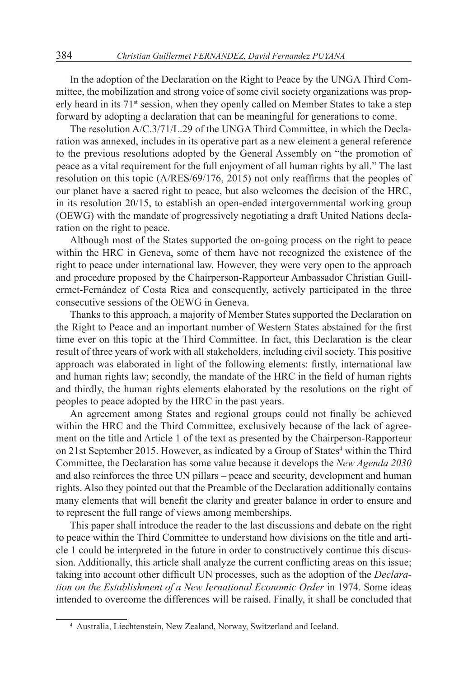In the adoption of the Declaration on the Right to Peace by the UNGA Third Committee, the mobilization and strong voice of some civil society organizations was properly heard in its 71st session, when they openly called on Member States to take a step forward by adopting a declaration that can be meaningful for generations to come.

The resolution A/C.3/71/L.29 of the UNGA Third Committee, in which the Declaration was annexed, includes in its operative part as a new element a general reference to the previous resolutions adopted by the General Assembly on "the promotion of peace as a vital requirement for the full enjoyment of all human rights by all." The last resolution on this topic (A/RES/69/176, 2015) not only reaffirms that the peoples of our planet have a sacred right to peace, but also welcomes the decision of the HRC, in its resolution 20/15, to establish an open-ended intergovernmental working group (OEWG) with the mandate of progressively negotiating a draft United Nations declaration on the right to peace.

Although most of the States supported the on-going process on the right to peace within the HRC in Geneva, some of them have not recognized the existence of the right to peace under international law. However, they were very open to the approach and procedure proposed by the Chairperson-Rapporteur Ambassador Christian Guillermet-Fernández of Costa Rica and consequently, actively participated in the three consecutive sessions of the OEWG in Geneva.

Thanks to this approach, a majority of Member States supported the Declaration on the Right to Peace and an important number of Western States abstained for the first time ever on this topic at the Third Committee. In fact, this Declaration is the clear result of three years of work with all stakeholders, including civil society. This positive approach was elaborated in light of the following elements: firstly, international law and human rights law; secondly, the mandate of the HRC in the field of human rights and thirdly, the human rights elements elaborated by the resolutions on the right of peoples to peace adopted by the HRC in the past years.

An agreement among States and regional groups could not finally be achieved within the HRC and the Third Committee, exclusively because of the lack of agreement on the title and Article 1 of the text as presented by the Chairperson-Rapporteur on 21st September 2015. However, as indicated by a Group of States<sup>4</sup> within the Third Committee, the Declaration has some value because it develops the *New Agenda 2030* and also reinforces the three UN pillars – peace and security, development and human rights. Also they pointed out that the Preamble of the Declaration additionally contains many elements that will benefit the clarity and greater balance in order to ensure and to represent the full range of views among memberships.

This paper shall introduce the reader to the last discussions and debate on the right to peace within the Third Committee to understand how divisions on the title and article 1 could be interpreted in the future in order to constructively continue this discussion. Additionally, this article shall analyze the current conflicting areas on this issue; taking into account other difficult UN processes, such as the adoption of the *Declaration on the Establishment of a New Iernational Economic Order* in 1974. Some ideas intended to overcome the differences will be raised. Finally, it shall be concluded that

<sup>4</sup> Australia, Liechtenstein, New Zealand, Norway, Switzerland and Iceland.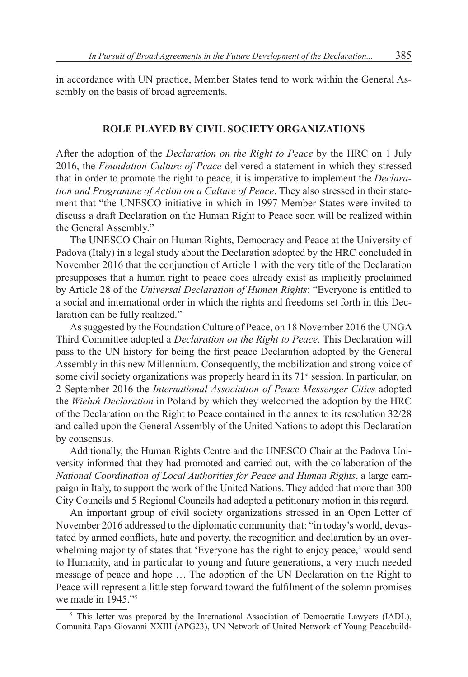in accordance with UN practice, Member States tend to work within the General Assembly on the basis of broad agreements.

#### **ROLE PLAYED BY CIVIL SOCIETY ORGANIZATIONS**

After the adoption of the *Declaration on the Right to Peace* by the HRC on 1 July 2016, the *Foundation Culture of Peace* delivered a statement in which they stressed that in order to promote the right to peace, it is imperative to implement the *Declaration and Programme of Action on a Culture of Peace*. They also stressed in their statement that "the UNESCO initiative in which in 1997 Member States were invited to discuss a draft Declaration on the Human Right to Peace soon will be realized within the General Assembly."

The UNESCO Chair on Human Rights, Democracy and Peace at the University of Padova (Italy) in a legal study about the Declaration adopted by the HRC concluded in November 2016 that the conjunction of Article 1 with the very title of the Declaration presupposes that a human right to peace does already exist as implicitly proclaimed by Article 28 of the *Universal Declaration of Human Rights*: "Everyone is entitled to a social and international order in which the rights and freedoms set forth in this Declaration can be fully realized."

As suggested by the Foundation Culture of Peace, on 18 November 2016 the UNGA Third Committee adopted a *Declaration on the Right to Peace*. This Declaration will pass to the UN history for being the first peace Declaration adopted by the General Assembly in this new Millennium. Consequently, the mobilization and strong voice of some civil society organizations was properly heard in its  $71<sup>st</sup>$  session. In particular, on 2 September 2016 the *International Association of Peace Messenger Cities* adopted the *Wieluń Declaration* in Poland by which they welcomed the adoption by the HRC of the Declaration on the Right to Peace contained in the annex to its resolution 32/28 and called upon the General Assembly of the United Nations to adopt this Declaration by consensus.

Additionally, the Human Rights Centre and the UNESCO Chair at the Padova University informed that they had promoted and carried out, with the collaboration of the *National Coordination of Local Authorities for Peace and Human Rights*, a large campaign in Italy, to support the work of the United Nations. They added that more than 300 City Councils and 5 Regional Councils had adopted a petitionary motion in this regard.

An important group of civil society organizations stressed in an Open Letter of November 2016 addressed to the diplomatic community that: "in today's world, devastated by armed conflicts, hate and poverty, the recognition and declaration by an overwhelming majority of states that 'Everyone has the right to enjoy peace,' would send to Humanity, and in particular to young and future generations, a very much needed message of peace and hope … The adoption of the UN Declaration on the Right to Peace will represent a little step forward toward the fulfilment of the solemn promises we made in 1945."<sup>5</sup>

<sup>&</sup>lt;sup>5</sup> This letter was prepared by the International Association of Democratic Lawyers (IADL), Comunità Papa Giovanni XXIII (APG23), UN Network of United Network of Young Peacebuild-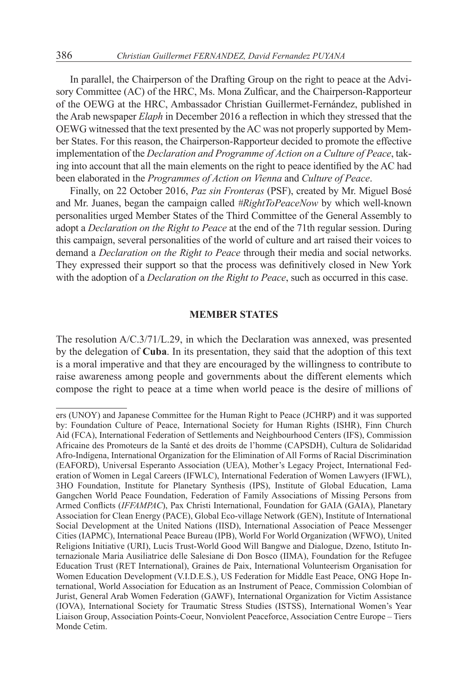In parallel, the Chairperson of the Drafting Group on the right to peace at the Advisory Committee (AC) of the HRC, Ms. Mona Zulficar, and the Chairperson-Rapporteur of the OEWG at the HRC, Ambassador Christian Guillermet-Fernández, published in the Arab newspaper *Elaph* in December 2016 a reflection in which they stressed that the OEWG witnessed that the text presented by the AC was not properly supported by Member States. For this reason, the Chairperson-Rapporteur decided to promote the effective implementation of the *Declaration and Programme of Action on a Culture of Peace*, taking into account that all the main elements on the right to peace identified by the AC had been elaborated in the *Programmes of Action on Vienna* and *Culture of Peace*.

Finally, on 22 October 2016, *Paz sin Fronteras* (PSF), created by Mr. Miguel Bosé and Mr. Juanes, began the campaign called *#RightToPeaceNow* by which well-known personalities urged Member States of the Third Committee of the General Assembly to adopt a *Declaration on the Right to Peace* at the end of the 71th regular session. During this campaign, several personalities of the world of culture and art raised their voices to demand a *Declaration on the Right to Peace* through their media and social networks. They expressed their support so that the process was definitively closed in New York with the adoption of a *Declaration on the Right to Peace*, such as occurred in this case.

### **MEMBER STATES**

The resolution A/C.3/71/L.29, in which the Declaration was annexed, was presented by the delegation of **Cuba**. In its presentation, they said that the adoption of this text is a moral imperative and that they are encouraged by the willingness to contribute to raise awareness among people and governments about the different elements which compose the right to peace at a time when world peace is the desire of millions of

ers (UNOY) and Japanese Committee for the Human Right to Peace (JCHRP) and it was supported by: Foundation Culture of Peace, International Society for Human Rights (ISHR), Finn Church Aid (FCA), International Federation of Settlements and Neighbourhood Centers (IFS), Commission Africaine des Promoteurs de la Santé et des droits de l'homme (CAPSDH), Cultura de Solidaridad Afro-Indígena, International Organization for the Elimination of All Forms of Racial Discrimination (EAFORD), Universal Esperanto Association (UEA), Mother's Legacy Project, International Federation of Women in Legal Careers (IFWLC), International Federation of Women Lawyers (IFWL), 3HO Foundation, Institute for Planetary Synthesis (IPS), Institute of Global Education, Lama Gangchen World Peace Foundation, Federation of Family Associations of Missing Persons from Armed Conflicts (*IFFAMPAC*), Pax Christi International, Foundation for GAIA (GAIA), Planetary Association for Clean Energy (PACE), Global Eco-village Network (GEN), Institute of International Social Development at the United Nations (IISD), International Association of Peace Messenger Cities (IAPMC), International Peace Bureau (IPB), World For World Organization (WFWO), United Religions Initiative (URI), Lucis Trust-World Good Will Bangwe and Dialogue, Dzeno, Istituto Internazionale Maria Ausiliatrice delle Salesiane di Don Bosco (IIMA), Foundation for the Refugee Education Trust (RET International), Graines de Paix, International Volunteerism Organisation for Women Education Development (V.I.D.E.S.), US Federation for Middle East Peace, ONG Hope International, World Association for Education as an Instrument of Peace, Commission Colombian of Jurist, General Arab Women Federation (GAWF), International Organization for Victim Assistance (IOVA), International Society for Traumatic Stress Studies (ISTSS), International Women's Year Liaison Group, Association Points-Coeur, Nonviolent Peaceforce, Association Centre Europe – Tiers Monde Cetim.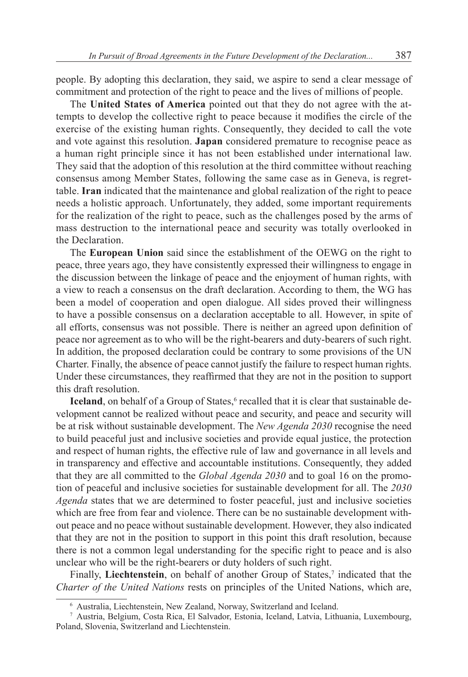people. By adopting this declaration, they said, we aspire to send a clear message of commitment and protection of the right to peace and the lives of millions of people.

The **United States of America** pointed out that they do not agree with the attempts to develop the collective right to peace because it modifies the circle of the exercise of the existing human rights. Consequently, they decided to call the vote and vote against this resolution. **Japan** considered premature to recognise peace as a human right principle since it has not been established under international law. They said that the adoption of this resolution at the third committee without reaching consensus among Member States, following the same case as in Geneva, is regrettable. **Iran** indicated that the maintenance and global realization of the right to peace needs a holistic approach. Unfortunately, they added, some important requirements for the realization of the right to peace, such as the challenges posed by the arms of mass destruction to the international peace and security was totally overlooked in the Declaration.

The **European Union** said since the establishment of the OEWG on the right to peace, three years ago, they have consistently expressed their willingness to engage in the discussion between the linkage of peace and the enjoyment of human rights, with a view to reach a consensus on the draft declaration. According to them, the WG has been a model of cooperation and open dialogue. All sides proved their willingness to have a possible consensus on a declaration acceptable to all. However, in spite of all efforts, consensus was not possible. There is neither an agreed upon definition of peace nor agreement as to who will be the right-bearers and duty-bearers of such right. In addition, the proposed declaration could be contrary to some provisions of the UN Charter. Finally, the absence of peace cannot justify the failure to respect human rights. Under these circumstances, they reaffirmed that they are not in the position to support this draft resolution.

**Iceland**, on behalf of a Group of States,<sup>6</sup> recalled that it is clear that sustainable development cannot be realized without peace and security, and peace and security will be at risk without sustainable development. The *New Agenda 2030* recognise the need to build peaceful just and inclusive societies and provide equal justice, the protection and respect of human rights, the effective rule of law and governance in all levels and in transparency and effective and accountable institutions. Consequently, they added that they are all committed to the *Global Agenda 2030* and to goal 16 on the promotion of peaceful and inclusive societies for sustainable development for all. The *2030 Agenda* states that we are determined to foster peaceful, just and inclusive societies which are free from fear and violence. There can be no sustainable development without peace and no peace without sustainable development. However, they also indicated that they are not in the position to support in this point this draft resolution, because there is not a common legal understanding for the specific right to peace and is also unclear who will be the right-bearers or duty holders of such right.

Finally, Liechtenstein, on behalf of another Group of States,<sup>7</sup> indicated that the *Charter of the United Nations* rests on principles of the United Nations, which are,

<sup>6</sup> Australia, Liechtenstein, New Zealand, Norway, Switzerland and Iceland.

<sup>7</sup> Austria, Belgium, Costa Rica, El Salvador, Estonia, Iceland, Latvia, Lithuania, Luxembourg, Poland, Slovenia, Switzerland and Liechtenstein.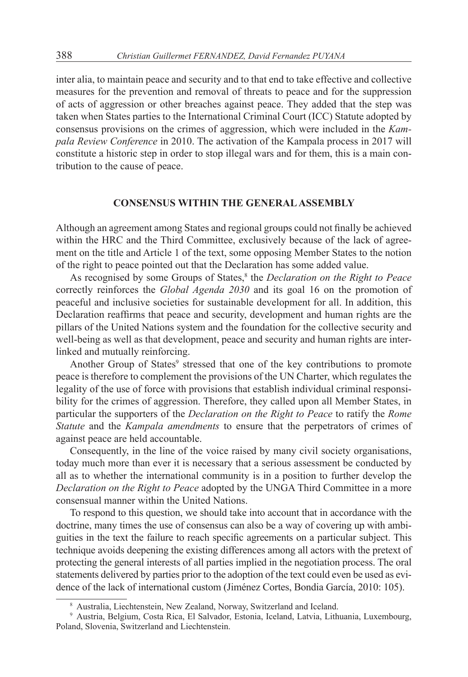inter alia, to maintain peace and security and to that end to take effective and collective measures for the prevention and removal of threats to peace and for the suppression of acts of aggression or other breaches against peace. They added that the step was taken when States parties to the International Criminal Court (ICC) Statute adopted by consensus provisions on the crimes of aggression, which were included in the *Kampala Review Conference* in 2010. The activation of the Kampala process in 2017 will constitute a historic step in order to stop illegal wars and for them, this is a main contribution to the cause of peace.

### **CONSENSUS WITHIN THE GENERAL ASSEMBLY**

Although an agreement among States and regional groups could not finally be achieved within the HRC and the Third Committee, exclusively because of the lack of agreement on the title and Article 1 of the text, some opposing Member States to the notion of the right to peace pointed out that the Declaration has some added value.

As recognised by some Groups of States,<sup>8</sup> the *Declaration on the Right to Peace* correctly reinforces the *Global Agenda 2030* and its goal 16 on the promotion of peaceful and inclusive societies for sustainable development for all. In addition, this Declaration reaffirms that peace and security, development and human rights are the pillars of the United Nations system and the foundation for the collective security and well-being as well as that development, peace and security and human rights are interlinked and mutually reinforcing.

Another Group of States<sup>9</sup> stressed that one of the key contributions to promote peace is therefore to complement the provisions of the UN Charter, which regulates the legality of the use of force with provisions that establish individual criminal responsibility for the crimes of aggression. Therefore, they called upon all Member States, in particular the supporters of the *Declaration on the Right to Peace* to ratify the *Rome Statute* and the *Kampala amendments* to ensure that the perpetrators of crimes of against peace are held accountable.

Consequently, in the line of the voice raised by many civil society organisations, today much more than ever it is necessary that a serious assessment be conducted by all as to whether the international community is in a position to further develop the *Declaration on the Right to Peace* adopted by the UNGA Third Committee in a more consensual manner within the United Nations.

To respond to this question, we should take into account that in accordance with the doctrine, many times the use of consensus can also be a way of covering up with ambiguities in the text the failure to reach specific agreements on a particular subject. This technique avoids deepening the existing differences among all actors with the pretext of protecting the general interests of all parties implied in the negotiation process. The oral statements delivered by parties prior to the adoption of the text could even be used as evidence of the lack of international custom (Jiménez Cortes, Bondia García, 2010: 105).

<sup>8</sup> Australia, Liechtenstein, New Zealand, Norway, Switzerland and Iceland.

<sup>9</sup> Austria, Belgium, Costa Rica, El Salvador, Estonia, Iceland, Latvia, Lithuania, Luxembourg, Poland, Slovenia, Switzerland and Liechtenstein.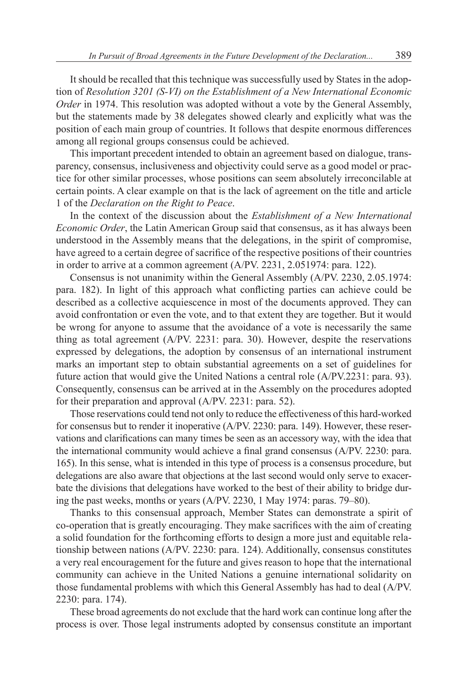It should be recalled that this technique was successfully used by States in the adoption of *Resolution 3201 (S-VI) on the Establishment of a New International Economic Order* in 1974. This resolution was adopted without a vote by the General Assembly, but the statements made by 38 delegates showed clearly and explicitly what was the position of each main group of countries. It follows that despite enormous differences among all regional groups consensus could be achieved.

This important precedent intended to obtain an agreement based on dialogue, transparency, consensus, inclusiveness and objectivity could serve as a good model or practice for other similar processes, whose positions can seem absolutely irreconcilable at certain points. A clear example on that is the lack of agreement on the title and article 1 of the *Declaration on the Right to Peace*.

In the context of the discussion about the *Establishment of a New International Economic Order*, the Latin American Group said that consensus, as it has always been understood in the Assembly means that the delegations, in the spirit of compromise, have agreed to a certain degree of sacrifice of the respective positions of their countries in order to arrive at a common agreement (A/PV. 2231, 2.051974: para. 122).

Consensus is not unanimity within the General Assembly (A/PV. 2230, 2.05.1974: para. 182). In light of this approach what conflicting parties can achieve could be described as a collective acquiescence in most of the documents approved. They can avoid confrontation or even the vote, and to that extent they are together. But it would be wrong for anyone to assume that the avoidance of a vote is necessarily the same thing as total agreement (A/PV. 2231: para. 30). However, despite the reservations expressed by delegations, the adoption by consensus of an international instrument marks an important step to obtain substantial agreements on a set of guidelines for future action that would give the United Nations a central role (A/PV.2231: para. 93). Consequently, consensus can be arrived at in the Assembly on the procedures adopted for their preparation and approval (A/PV. 2231: para. 52).

Those reservations could tend not only to reduce the effectiveness of this hard-worked for consensus but to render it inoperative (A/PV. 2230: para. 149). However, these reservations and clarifications can many times be seen as an accessory way, with the idea that the international community would achieve a final grand consensus (A/PV. 2230: para. 165). In this sense, what is intended in this type of process is a consensus procedure, but delegations are also aware that objections at the last second would only serve to exacerbate the divisions that delegations have worked to the best of their ability to bridge during the past weeks, months or years (A/PV. 2230, 1 May 1974: paras. 79–80).

Thanks to this consensual approach, Member States can demonstrate a spirit of co-operation that is greatly encouraging. They make sacrifices with the aim of creating a solid foundation for the forthcoming efforts to design a more just and equitable relationship between nations (A/PV. 2230: para. 124). Additionally, consensus constitutes a very real encouragement for the future and gives reason to hope that the international community can achieve in the United Nations a genuine international solidarity on those fundamental problems with which this General Assembly has had to deal (A/PV. 2230: para. 174).

These broad agreements do not exclude that the hard work can continue long after the process is over. Those legal instruments adopted by consensus constitute an important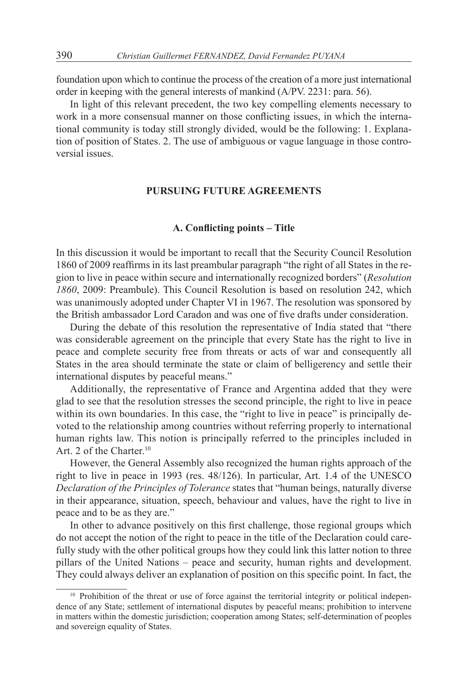foundation upon which to continue the process of the creation of a more just international order in keeping with the general interests of mankind (A/PV. 2231: para. 56).

In light of this relevant precedent, the two key compelling elements necessary to work in a more consensual manner on those conflicting issues, in which the international community is today still strongly divided, would be the following: 1. Explanation of position of States. 2. The use of ambiguous or vague language in those controversial issues.

### **PURSUING FUTURE AGREEMENTS**

### **A. Conflicting points – Title**

In this discussion it would be important to recall that the Security Council Resolution 1860 of 2009 reaffirms in its last preambular paragraph "the right of all States in the region to live in peace within secure and internationally recognized borders" (*Resolution 1860*, 2009: Preambule). This Council Resolution is based on resolution 242, which was unanimously adopted under Chapter VI in 1967. The resolution was sponsored by the British ambassador Lord Caradon and was one of five drafts under consideration.

During the debate of this resolution the representative of India stated that "there was considerable agreement on the principle that every State has the right to live in peace and complete security free from threats or acts of war and consequently all States in the area should terminate the state or claim of belligerency and settle their international disputes by peaceful means."

Additionally, the representative of France and Argentina added that they were glad to see that the resolution stresses the second principle, the right to live in peace within its own boundaries. In this case, the "right to live in peace" is principally devoted to the relationship among countries without referring properly to international human rights law. This notion is principally referred to the principles included in Art. 2 of the Charter.<sup>10</sup>

However, the General Assembly also recognized the human rights approach of the right to live in peace in 1993 (res. 48/126). In particular, Art. 1.4 of the UNESCO *Declaration of the Principles of Tolerance* states that "human beings, naturally diverse in their appearance, situation, speech, behaviour and values, have the right to live in peace and to be as they are."

In other to advance positively on this first challenge, those regional groups which do not accept the notion of the right to peace in the title of the Declaration could carefully study with the other political groups how they could link this latter notion to three pillars of the United Nations – peace and security, human rights and development. They could always deliver an explanation of position on this specific point. In fact, the

<sup>&</sup>lt;sup>10</sup> Prohibition of the threat or use of force against the territorial integrity or political independence of any State; settlement of international disputes by peaceful means; prohibition to intervene in matters within the domestic jurisdiction; cooperation among States; self-determination of peoples and sovereign equality of States.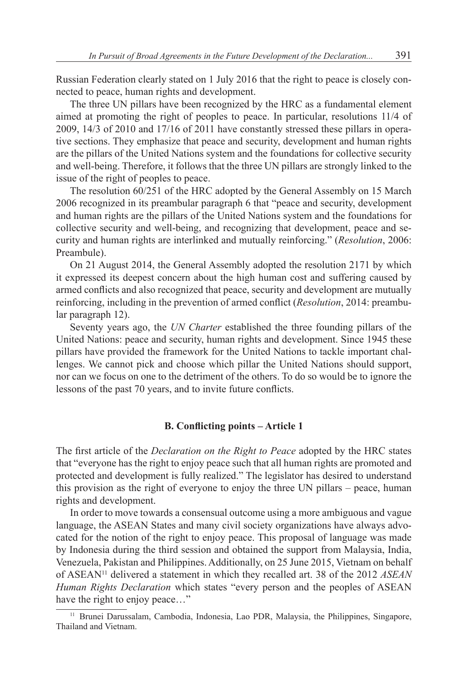Russian Federation clearly stated on 1 July 2016 that the right to peace is closely connected to peace, human rights and development.

The three UN pillars have been recognized by the HRC as a fundamental element aimed at promoting the right of peoples to peace. In particular, resolutions 11/4 of 2009, 14/3 of 2010 and 17/16 of 2011 have constantly stressed these pillars in operative sections. They emphasize that peace and security, development and human rights are the pillars of the United Nations system and the foundations for collective security and well-being. Therefore, it follows that the three UN pillars are strongly linked to the issue of the right of peoples to peace.

The resolution 60/251 of the HRC adopted by the General Assembly on 15 March 2006 recognized in its preambular paragraph 6 that "peace and security, development and human rights are the pillars of the United Nations system and the foundations for collective security and well-being, and recognizing that development, peace and security and human rights are interlinked and mutually reinforcing." (*Resolution*, 2006: Preambule).

On 21 August 2014, the General Assembly adopted the resolution 2171 by which it expressed its deepest concern about the high human cost and suffering caused by armed conflicts and also recognized that peace, security and development are mutually reinforcing, including in the prevention of armed conflict (*Resolution*, 2014: preambular paragraph 12).

Seventy years ago, the *UN Charter* established the three founding pillars of the United Nations: peace and security, human rights and development. Since 1945 these pillars have provided the framework for the United Nations to tackle important challenges. We cannot pick and choose which pillar the United Nations should support, nor can we focus on one to the detriment of the others. To do so would be to ignore the lessons of the past 70 years, and to invite future conflicts.

### **B. Conflicting points – Article 1**

The first article of the *Declaration on the Right to Peace* adopted by the HRC states that "everyone has the right to enjoy peace such that all human rights are promoted and protected and development is fully realized." The legislator has desired to understand this provision as the right of everyone to enjoy the three UN pillars – peace, human rights and development.

In order to move towards a consensual outcome using a more ambiguous and vague language, the ASEAN States and many civil society organizations have always advocated for the notion of the right to enjoy peace. This proposal of language was made by Indonesia during the third session and obtained the support from Malaysia, India, Venezuela, Pakistan and Philippines. Additionally, on 25 June 2015, Vietnam on behalf of ASEAN<sup>11</sup> delivered a statement in which they recalled art. 38 of the 2012 *ASEAN Human Rights Declaration* which states "every person and the peoples of ASEAN have the right to enjoy peace..."

<sup>&</sup>lt;sup>11</sup> Brunei Darussalam, Cambodia, Indonesia, Lao PDR, Malaysia, the Philippines, Singapore, Thailand and Vietnam.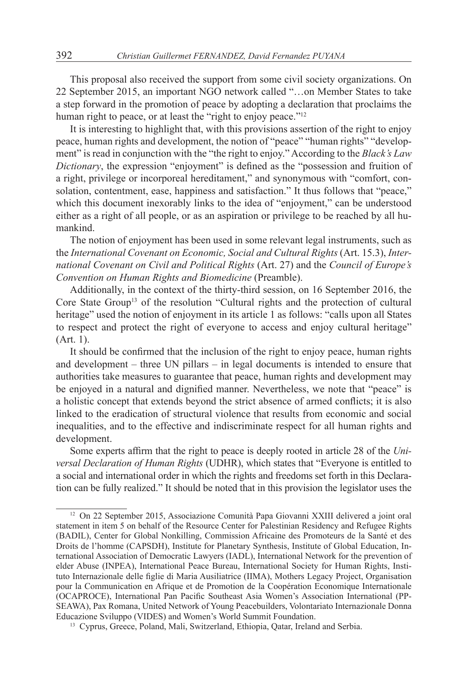This proposal also received the support from some civil society organizations. On 22 September 2015, an important NGO network called "…on Member States to take a step forward in the promotion of peace by adopting a declaration that proclaims the human right to peace, or at least the "right to enjoy peace."<sup>12</sup>

It is interesting to highlight that, with this provisions assertion of the right to enjoy peace, human rights and development, the notion of "peace" "human rights" "development" is read in conjunction with the "the right to enjoy." According to the *Black's Law Dictionary*, the expression "enjoyment" is defined as the "possession and fruition of a right, privilege or incorporeal hereditament," and synonymous with "comfort, consolation, contentment, ease, happiness and satisfaction." It thus follows that "peace," which this document inexorably links to the idea of "enjoyment," can be understood either as a right of all people, or as an aspiration or privilege to be reached by all humankind.

The notion of enjoyment has been used in some relevant legal instruments, such as the *International Covenant on Economic, Social and Cultural Rights* (Art. 15.3), *International Covenant on Civil and Political Rights* (Art. 27) and the *Council of Europe's Convention on Human Rights and Biomedicine* (Preamble).

Additionally, in the context of the thirty-third session, on 16 September 2016, the Core State Group<sup>13</sup> of the resolution "Cultural rights and the protection of cultural heritage" used the notion of enjoyment in its article 1 as follows: "calls upon all States to respect and protect the right of everyone to access and enjoy cultural heritage" (Art. 1).

It should be confirmed that the inclusion of the right to enjoy peace, human rights and development – three UN pillars – in legal documents is intended to ensure that authorities take measures to guarantee that peace, human rights and development may be enjoyed in a natural and dignified manner. Nevertheless, we note that "peace" is a holistic concept that extends beyond the strict absence of armed conflicts; it is also linked to the eradication of structural violence that results from economic and social inequalities, and to the effective and indiscriminate respect for all human rights and development.

Some experts affirm that the right to peace is deeply rooted in article 28 of the *Universal Declaration of Human Rights* (UDHR), which states that "Everyone is entitled to a social and international order in which the rights and freedoms set forth in this Declaration can be fully realized." It should be noted that in this provision the legislator uses the

<sup>12</sup> On 22 September 2015, Associazione Comunità Papa Giovanni XXIII delivered a joint oral statement in item 5 on behalf of the Resource Center for Palestinian Residency and Refugee Rights (BADIL), Center for Global Nonkilling, Commission Africaine des Promoteurs de la Santé et des Droits de l'homme (CAPSDH), Institute for Planetary Synthesis, Institute of Global Education, International Association of Democratic Lawyers (IADL), International Network for the prevention of elder Abuse (INPEA), International Peace Bureau, International Society for Human Rights, Instituto Internazionale delle figlie di Maria Ausiliatrice (IIMA), Mothers Legacy Project, Organisation pour la Communication en Afrique et de Promotion de la Coopération Economique Internationale (OCAPROCE), International Pan Pacific Southeast Asia Women's Association International (PP-SEAWA), Pax Romana, United Network of Young Peacebuilders, Volontariato Internazionale Donna Educazione Sviluppo (VIDES) and Women's World Summit Foundation. 13 Cyprus, Greece, Poland, Mali, Switzerland, Ethiopia, Qatar, Ireland and Serbia.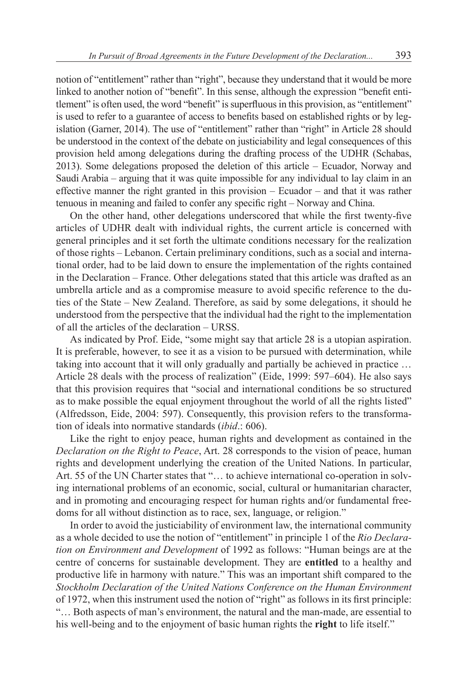notion of "entitlement" rather than "right", because they understand that it would be more linked to another notion of "benefit". In this sense, although the expression "benefit entitlement" is often used, the word "benefit" is superfluous in this provision, as "entitlement" is used to refer to a guarantee of access to benefits based on established rights or by legislation (Garner, 2014). The use of "entitlement" rather than "right" in Article 28 should be understood in the context of the debate on justiciability and legal consequences of this provision held among delegations during the drafting process of the UDHR (Schabas, 2013). Some delegations proposed the deletion of this article – Ecuador, Norway and Saudi Arabia – arguing that it was quite impossible for any individual to lay claim in an effective manner the right granted in this provision – Ecuador – and that it was rather tenuous in meaning and failed to confer any specific right – Norway and China.

On the other hand, other delegations underscored that while the first twenty-five articles of UDHR dealt with individual rights, the current article is concerned with general principles and it set forth the ultimate conditions necessary for the realization of those rights – Lebanon. Certain preliminary conditions, such as a social and international order, had to be laid down to ensure the implementation of the rights contained in the Declaration – France. Other delegations stated that this article was drafted as an umbrella article and as a compromise measure to avoid specific reference to the duties of the State – New Zealand. Therefore, as said by some delegations, it should he understood from the perspective that the individual had the right to the implementation of all the articles of the declaration – URSS.

As indicated by Prof. Eide, "some might say that article 28 is a utopian aspiration. It is preferable, however, to see it as a vision to be pursued with determination, while taking into account that it will only gradually and partially be achieved in practice … Article 28 deals with the process of realization" (Eide, 1999: 597–604). He also says that this provision requires that "social and international conditions be so structured as to make possible the equal enjoyment throughout the world of all the rights listed" (Alfredsson, Eide, 2004: 597). Consequently, this provision refers to the transformation of ideals into normative standards (*ibid*.: 606).

Like the right to enjoy peace, human rights and development as contained in the *Declaration on the Right to Peace*, Art. 28 corresponds to the vision of peace, human rights and development underlying the creation of the United Nations. In particular, Art. 55 of the UN Charter states that "... to achieve international co-operation in solving international problems of an economic, social, cultural or humanitarian character, and in promoting and encouraging respect for human rights and/or fundamental freedoms for all without distinction as to race, sex, language, or religion."

In order to avoid the justiciability of environment law, the international community as a whole decided to use the notion of "entitlement" in principle 1 of the *Rio Declaration on Environment and Development* of 1992 as follows: "Human beings are at the centre of concerns for sustainable development. They are **entitled** to a healthy and productive life in harmony with nature." This was an important shift compared to the *Stockholm Declaration of the United Nations Conference on the Human Environment* of 1972, when this instrument used the notion of "right" as follows in its first principle: "… Both aspects of man's environment, the natural and the man-made, are essential to his well-being and to the enjoyment of basic human rights the **right** to life itself."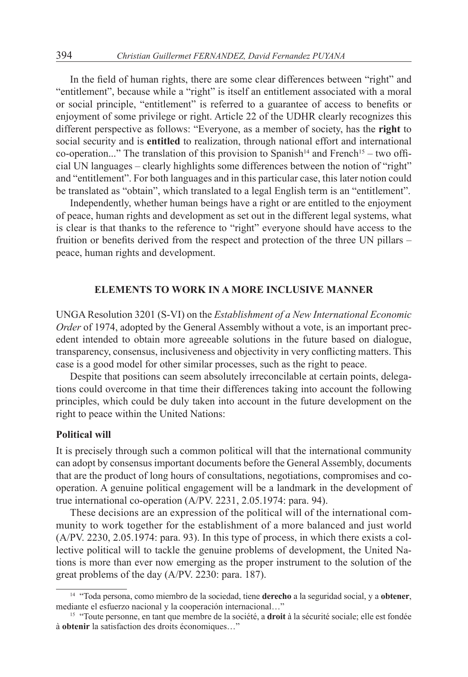In the field of human rights, there are some clear differences between "right" and "entitlement", because while a "right" is itself an entitlement associated with a moral or social principle, "entitlement" is referred to a guarantee of access to benefits or enjoyment of some privilege or right. Article 22 of the UDHR clearly recognizes this different perspective as follows: "Everyone, as a member of society, has the **right** to social security and is **entitled** to realization, through national effort and international co-operation..." The translation of this provision to Spanish<sup>14</sup> and French<sup>15</sup> – two official UN languages – clearly highlights some differences between the notion of "right" and "entitlement". For both languages and in this particular case, this later notion could be translated as "obtain", which translated to a legal English term is an "entitlement".

Independently, whether human beings have a right or are entitled to the enjoyment of peace, human rights and development as set out in the different legal systems, what is clear is that thanks to the reference to "right" everyone should have access to the fruition or benefits derived from the respect and protection of the three UN pillars – peace, human rights and development.

### **ELEMENTS TO WORK IN A MORE INCLUSIVE MANNER**

UNGA Resolution 3201 (S-VI) on the *Establishment of a New International Economic Order* of 1974, adopted by the General Assembly without a vote, is an important precedent intended to obtain more agreeable solutions in the future based on dialogue, transparency, consensus, inclusiveness and objectivity in very conflicting matters. This case is a good model for other similar processes, such as the right to peace.

Despite that positions can seem absolutely irreconcilable at certain points, delegations could overcome in that time their differences taking into account the following principles, which could be duly taken into account in the future development on the right to peace within the United Nations:

### **Political will**

It is precisely through such a common political will that the international community can adopt by consensus important documents before the General Assembly, documents that are the product of long hours of consultations, negotiations, compromises and cooperation. A genuine political engagement will be a landmark in the development of true international co-operation (A/PV. 2231, 2.05.1974: para. 94).

These decisions are an expression of the political will of the international community to work together for the establishment of a more balanced and just world (A/PV. 2230, 2.05.1974: para. 93). In this type of process, in which there exists a collective political will to tackle the genuine problems of development, the United Nations is more than ever now emerging as the proper instrument to the solution of the great problems of the day (A/PV. 2230: para. 187).

<sup>14</sup> "Toda persona, como miembro de la sociedad, tiene **derecho** a la seguridad social, y a **obtener**, mediante el esfuerzo nacional y la cooperación internacional…"

<sup>15</sup> "Toute personne, en tant que membre de la société, a **droit** à la sécurité sociale; elle est fondée à **obtenir** la satisfaction des droits économiques…"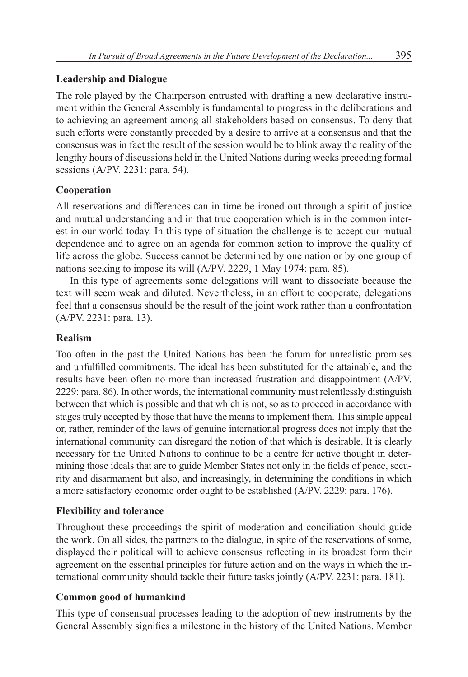# **Leadership and Dialogue**

The role played by the Chairperson entrusted with drafting a new declarative instrument within the General Assembly is fundamental to progress in the deliberations and to achieving an agreement among all stakeholders based on consensus. To deny that such efforts were constantly preceded by a desire to arrive at a consensus and that the consensus was in fact the result of the session would be to blink away the reality of the lengthy hours of discussions held in the United Nations during weeks preceding formal sessions (A/PV. 2231: para. 54).

# **Cooperation**

All reservations and differences can in time be ironed out through a spirit of justice and mutual understanding and in that true cooperation which is in the common interest in our world today. In this type of situation the challenge is to accept our mutual dependence and to agree on an agenda for common action to improve the quality of life across the globe. Success cannot be determined by one nation or by one group of nations seeking to impose its will (A/PV. 2229, 1 May 1974: para. 85).

In this type of agreements some delegations will want to dissociate because the text will seem weak and diluted. Nevertheless, in an effort to cooperate, delegations feel that a consensus should be the result of the joint work rather than a confrontation (A/PV. 2231: para. 13).

## **Realism**

Too often in the past the United Nations has been the forum for unrealistic promises and unfulfilled commitments. The ideal has been substituted for the attainable, and the results have been often no more than increased frustration and disappointment (A/PV. 2229: para. 86). In other words, the international community must relentlessly distinguish between that which is possible and that which is not, so as to proceed in accordance with stages truly accepted by those that have the means to implement them. This simple appeal or, rather, reminder of the laws of genuine international progress does not imply that the international community can disregard the notion of that which is desirable. It is clearly necessary for the United Nations to continue to be a centre for active thought in determining those ideals that are to guide Member States not only in the fields of peace, security and disarmament but also, and increasingly, in determining the conditions in which a more satisfactory economic order ought to be established (A/PV. 2229: para. 176).

# **Flexibility and tolerance**

Throughout these proceedings the spirit of moderation and conciliation should guide the work. On all sides, the partners to the dialogue, in spite of the reservations of some, displayed their political will to achieve consensus reflecting in its broadest form their agreement on the essential principles for future action and on the ways in which the international community should tackle their future tasks jointly (A/PV. 2231: para. 181).

# **Common good of humankind**

This type of consensual processes leading to the adoption of new instruments by the General Assembly signifies a milestone in the history of the United Nations. Member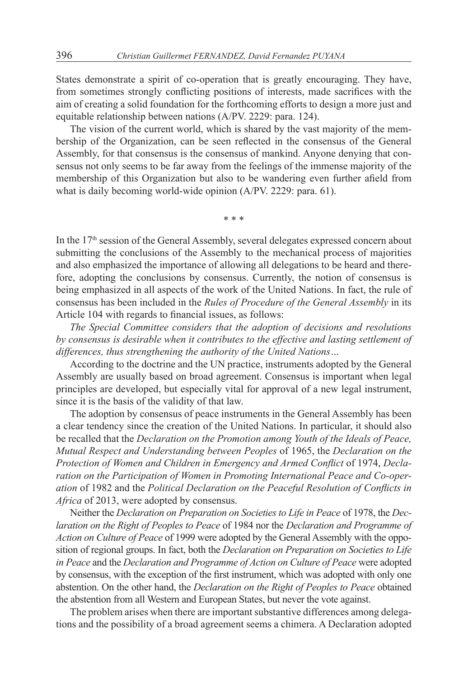States demonstrate a spirit of co-operation that is greatly encouraging. They have, from sometimes strongly conflicting positions of interests, made sacrifices with the aim of creating a solid foundation for the forthcoming efforts to design a more just and equitable relationship between nations (A/PV. 2229: para. 124).

The vision of the current world, which is shared by the vast majority of the membership of the Organization, can be seen reflected in the consensus of the General Assembly, for that consensus is the consensus of mankind. Anyone denying that consensus not only seems to be far away from the feelings of the immense majority of the membership of this Organization but also to be wandering even further afield from what is daily becoming world-wide opinion (A/PV. 2229: para. 61).

\* \* \*

In the 17<sup>th</sup> session of the General Assembly, several delegates expressed concern about submitting the conclusions of the Assembly to the mechanical process of majorities and also emphasized the importance of allowing all delegations to be heard and therefore, adopting the conclusions by consensus. Currently, the notion of consensus is being emphasized in all aspects of the work of the United Nations. In fact, the rule of consensus has been included in the *Rules of Procedure of the General Assembly* in its Article 104 with regards to financial issues, as follows:

*The Special Committee considers that the adoption of decisions and resolutions by consensus is desirable when it contributes to the effective and lasting settlement of differences, thus strengthening the authority of the United Nations…*

According to the doctrine and the UN practice, instruments adopted by the General Assembly are usually based on broad agreement. Consensus is important when legal principles are developed, but especially vital for approval of a new legal instrument, since it is the basis of the validity of that law.

The adoption by consensus of peace instruments in the General Assembly has been a clear tendency since the creation of the United Nations. In particular, it should also be recalled that the *Declaration on the Promotion among Youth of the Ideals of Peace, Mutual Respect and Understanding between Peoples* of 1965, the *Declaration on the Protection of Women and Children in Emergency and Armed Conflict* of 1974, *Declaration on the Participation of Women in Promoting International Peace and Co-operation* of 1982 and the *Political Declaration on the Peaceful Resolution of Conflicts in Africa* of 2013, were adopted by consensus.

Neither the *Declaration on Preparation on Societies to Life in Peace* of 1978, the *Declaration on the Right of Peoples to Peace* of 1984 nor the *Declaration and Programme of Action on Culture of Peace* of 1999 were adopted by the General Assembly with the opposition of regional groups. In fact, both the *Declaration on Preparation on Societies to Life in Peace* and the *Declaration and Programme of Action on Culture of Peace* were adopted by consensus, with the exception of the first instrument, which was adopted with only one abstention. On the other hand, the *Declaration on the Right of Peoples to Peace* obtained the abstention from all Western and European States, but never the vote against.

The problem arises when there are important substantive differences among delegations and the possibility of a broad agreement seems a chimera. A Declaration adopted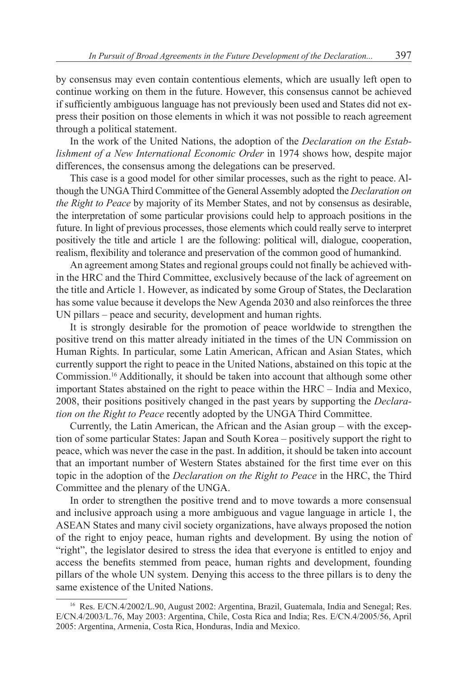by consensus may even contain contentious elements, which are usually left open to continue working on them in the future. However, this consensus cannot be achieved if sufficiently ambiguous language has not previously been used and States did not express their position on those elements in which it was not possible to reach agreement through a political statement.

In the work of the United Nations, the adoption of the *Declaration on the Establishment of a New International Economic Order* in 1974 shows how, despite major differences, the consensus among the delegations can be preserved.

This case is a good model for other similar processes, such as the right to peace. Although the UNGA Third Committee of the General Assembly adopted the *Declaration on the Right to Peace* by majority of its Member States, and not by consensus as desirable, the interpretation of some particular provisions could help to approach positions in the future. In light of previous processes, those elements which could really serve to interpret positively the title and article 1 are the following: political will, dialogue, cooperation, realism, flexibility and tolerance and preservation of the common good of humankind.

An agreement among States and regional groups could not finally be achieved within the HRC and the Third Committee, exclusively because of the lack of agreement on the title and Article 1. However, as indicated by some Group of States, the Declaration has some value because it develops the New Agenda 2030 and also reinforces the three UN pillars – peace and security, development and human rights.

It is strongly desirable for the promotion of peace worldwide to strengthen the positive trend on this matter already initiated in the times of the UN Commission on Human Rights. In particular, some Latin American, African and Asian States, which currently support the right to peace in the United Nations, abstained on this topic at the Commission.<sup>16</sup> Additionally, it should be taken into account that although some other important States abstained on the right to peace within the HRC – India and Mexico, 2008, their positions positively changed in the past years by supporting the *Declaration on the Right to Peace* recently adopted by the UNGA Third Committee.

Currently, the Latin American, the African and the Asian group – with the exception of some particular States: Japan and South Korea – positively support the right to peace, which was never the case in the past. In addition, it should be taken into account that an important number of Western States abstained for the first time ever on this topic in the adoption of the *Declaration on the Right to Peace* in the HRC, the Third Committee and the plenary of the UNGA.

In order to strengthen the positive trend and to move towards a more consensual and inclusive approach using a more ambiguous and vague language in article 1, the ASEAN States and many civil society organizations, have always proposed the notion of the right to enjoy peace, human rights and development. By using the notion of "right", the legislator desired to stress the idea that everyone is entitled to enjoy and access the benefits stemmed from peace, human rights and development, founding pillars of the whole UN system. Denying this access to the three pillars is to deny the same existence of the United Nations.

<sup>16</sup> Res. E/CN.4/2002/L.90, August 2002: Argentina, Brazil, Guatemala, India and Senegal; Res. E/CN.4/2003/L.76, May 2003: Argentina, Chile, Costa Rica and India; Res. E/CN.4/2005/56, April 2005: Argentina, Armenia, Costa Rica, Honduras, India and Mexico.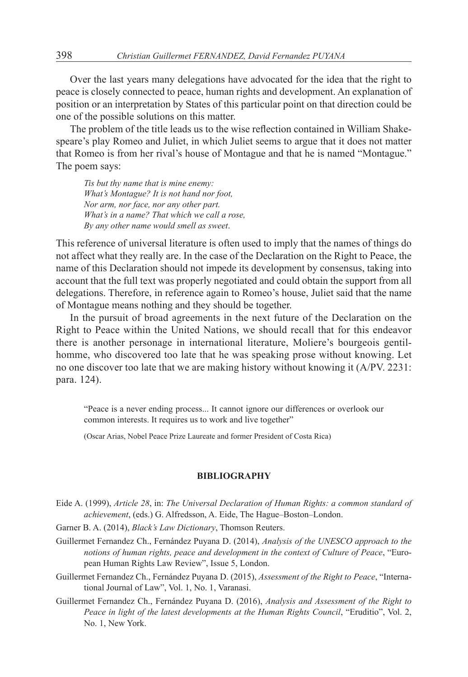Over the last years many delegations have advocated for the idea that the right to peace is closely connected to peace, human rights and development. An explanation of position or an interpretation by States of this particular point on that direction could be one of the possible solutions on this matter.

The problem of the title leads us to the wise reflection contained in William Shakespeare's play Romeo and Juliet, in which Juliet seems to argue that it does not matter that Romeo is from her rival's house of Montague and that he is named "Montague." The poem says:

*Tis but thy name that is mine enemy: What's Montague? It is not hand nor foot, Nor arm, nor face, nor any other part. What's in a name? That which we call a rose, By any other name would smell as sweet*.

This reference of universal literature is often used to imply that the names of things do not affect what they really are. In the case of the Declaration on the Right to Peace, the name of this Declaration should not impede its development by consensus, taking into account that the full text was properly negotiated and could obtain the support from all delegations. Therefore, in reference again to Romeo's house, Juliet said that the name of Montague means nothing and they should be together.

In the pursuit of broad agreements in the next future of the Declaration on the Right to Peace within the United Nations, we should recall that for this endeavor there is another personage in international literature, Moliere's bourgeois gentilhomme, who discovered too late that he was speaking prose without knowing. Let no one discover too late that we are making history without knowing it (A/PV. 2231: para. 124).

"Peace is a never ending process... It cannot ignore our differences or overlook our common interests. It requires us to work and live together"

(Oscar Arias, Nobel Peace Prize Laureate and former President of Costa Rica)

#### **BIBLIOGRAPHY**

- Eide A. (1999), *Article 28*, in: *The Universal Declaration of Human Rights: a common standard of achievement*, (eds.) G. Alfredsson, A. Eide, The Hague–Boston–London.
- Garner B. A. (2014), *Black's Law Dictionary*, Thomson Reuters.
- Guillermet Fernandez Ch., Fernández Puyana D. (2014), *Analysis of the UNESCO approach to the notions of human rights, peace and development in the context of Culture of Peace*, "European Human Rights Law Review", Issue 5, London.
- Guillermet Fernandez Ch., Fernández Puyana D. (2015), *Assessment of the Right to Peace*, "International Journal of Law", Vol. 1, No. 1, Varanasi.
- Guillermet Fernandez Ch., Fernández Puyana D. (2016), *Analysis and Assessment of the Right to Peace in light of the latest developments at the Human Rights Council*, "Eruditio", Vol. 2, No. 1, New York.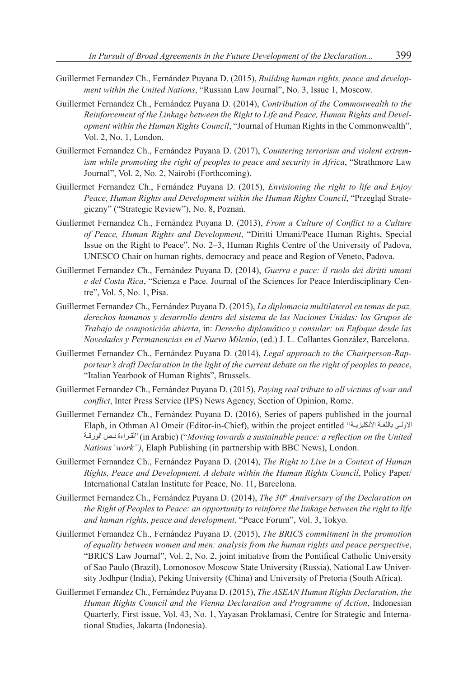- Guillermet Fernandez Ch., Fernández Puyana D. (2015), *Building human rights, peace and development within the United Nations*, "Russian Law Journal", No. 3, Issue 1, Moscow.
- Guillermet Fernandez Ch., Fernández Puyana D. (2014), *Contribution of the Commonwealth to the Reinforcement of the Linkage between the Right to Life and Peace, Human Rights and Development within the Human Rights Council*, "Journal of Human Rights in the Commonwealth", Vol. 2, No. 1, London.
- Guillermet Fernandez Ch., Fernández Puyana D. (2017), *Countering terrorism and violent extremism while promoting the right of peoples to peace and security in Africa*, "Strathmore Law Journal", Vol. 2, No. 2, Nairobi (Forthcoming).
- Guillermet Fernandez Ch., Fernández Puyana D. (2015), *Envisioning the right to life and Enjoy Peace, Human Rights and Development within the Human Rights Council*, "Przegląd Strategiczny" ("Strategic Review"), No. 8, Poznań.
- Guillermet Fernandez Ch., Fernández Puyana D. (2013), *From a Culture of Conflict to a Culture of Peace, Human Rights and Development*, "Diritti Umani/Peace Human Rights, Special Issue on the Right to Peace", No. 2–3, Human Rights Centre of the University of Padova, UNESCO Chair on human rights, democracy and peace and Region of Veneto, Padova.
- Guillermet Fernandez Ch., Fernández Puyana D. (2014), *Guerra e pace: il ruolo dei diritti umani e del Costa Rica*, "Scienza e Pace. Journal of the Sciences for Peace Interdisciplinary Centre", Vol. 5, No. 1, Pisa.
- Guillermet Fernandez Ch., Fernández Puyana D. (2015), *La diplomacia multilateral en temas de paz, derechos humanos y desarrollo dentro del sistema de las Naciones Unidas: los Grupos de Trabajo de composición abierta*, in: *Derecho diplomático y consular: un Enfoque desde las Novedades y Permanencias en el Nuevo Milenio*, (ed.) J. L. Collantes González, Barcelona.
- Guillermet Fernandez Ch., Fernández Puyana D. (2014), *Legal approach to the Chairperson-Rapporteur's draft Declaration in the light of the current debate on the right of peoples to peace*, "Italian Yearbook of Human Rights", Brussels.
- Guillermet Fernandez Ch., Fernández Puyana D. (2015), *Paying real tribute to all victims of war and conflict*, Inter Press Service (IPS) News Agency, Section of Opinion, Rome.
- Guillermet Fernandez Ch., Fernández Puyana D. (2016), Series of papers published in the journal Elaph, in Othman Al Omeir (Editor-in-Chief), within the project entitled (in Arabic) ("*Moving towards a sustainable peace: a reflection on the United Nations' work")*, Elaph Publishing (in partnership with BBC News), London.
- Guillermet Fernandez Ch., Fernández Puyana D. (2014), *The Right to Live in a Context of Human Rights, Peace and Development. A debate within the Human Rights Council*, Policy Paper/ International Catalan Institute for Peace, No. 11, Barcelona.
- Guillermet Fernandez Ch., Fernández Puyana D. (2014), *The 30<sup>th</sup> Anniversary of the Declaration on the Right of Peoples to Peace: an opportunity to reinforce the linkage between the right to life and human rights, peace and development*, "Peace Forum", Vol. 3, Tokyo.
- Guillermet Fernandez Ch., Fernández Puyana D. (2015), *The BRICS commitment in the promotion of equality between women and men: analysis from the human rights and peace perspective*, "BRICS Law Journal", Vol. 2, No. 2, joint initiative from the Pontifical Catholic University of Sao Paulo (Brazil), Lomonosov Moscow State University (Russia), National Law University Jodhpur (India), Peking University (China) and University of Pretoria (South Africa).
- Guillermet Fernandez Ch., Fernández Puyana D. (2015), *The ASEAN Human Rights Declaration, the Human Rights Council and the Vienna Declaration and Programme of Action*, Indonesian Quarterly, First issue, Vol. 43, No. 1, Yayasan Proklamasi, Centre for Strategic and International Studies, Jakarta (Indonesia).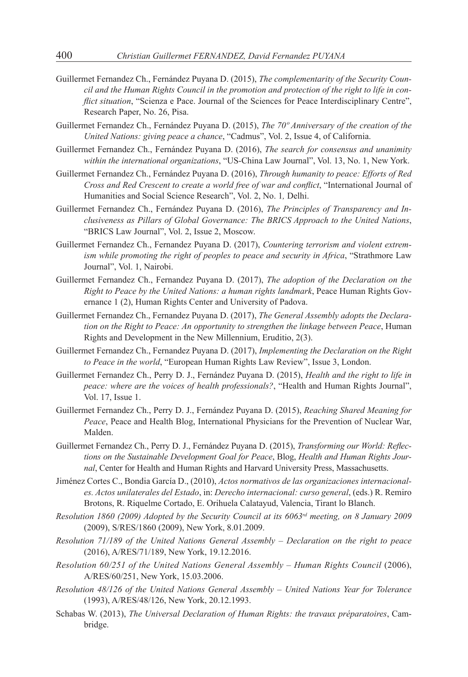- Guillermet Fernandez Ch., Fernández Puyana D. (2015), *The complementarity of the Security Council and the Human Rights Council in the promotion and protection of the right to life in conflict situation*, "Scienza e Pace. Journal of the Sciences for Peace Interdisciplinary Centre", Research Paper, No. 26, Pisa.
- Guillermet Fernandez Ch., Fernández Puyana D. (2015), *The 70º Anniversary of the creation of the United Nations: giving peace a chance*, "Cadmus", Vol. 2, Issue 4, of California.
- Guillermet Fernandez Ch., Fernández Puyana D. (2016), *The search for consensus and unanimity within the international organizations*, "US-China Law Journal", Vol. 13, No. 1, New York.
- Guillermet Fernandez Ch., Fernández Puyana D. (2016), *Through humanity to peace: Efforts of Red Cross and Red Crescent to create a world free of war and conflict*, "International Journal of Humanities and Social Science Research", Vol. 2, No. 1*,* Delhi.
- Guillermet Fernandez Ch., Fernández Puyana D. (2016), *The Principles of Transparency and Inclusiveness as Pillars of Global Governance: The BRICS Approach to the United Nations*, "BRICS Law Journal", Vol. 2, Issue 2, Moscow.
- Guillermet Fernandez Ch., Fernandez Puyana D. (2017), *Countering terrorism and violent extremism while promoting the right of peoples to peace and security in Africa*, "Strathmore Law Journal", Vol. 1, Nairobi.
- Guillermet Fernandez Ch., Fernandez Puyana D. (2017), *The adoption of the Declaration on the Right to Peace by the United Nations: a human rights landmark*, Peace Human Rights Governance 1 (2), Human Rights Center and University of Padova.
- Guillermet Fernandez Ch., Fernandez Puyana D. (2017), *The General Assembly adopts the Declaration on the Right to Peace: An opportunity to strengthen the linkage between Peace*, Human Rights and Development in the New Millennium, Eruditio, 2(3).
- Guillermet Fernandez Ch., Fernandez Puyana D. (2017), *Implementing the Declaration on the Right to Peace in the world*, "European Human Rights Law Review", Issue 3, London.
- Guillermet Fernandez Ch., Perry D. J., Fernández Puyana D. (2015), *Health and the right to life in peace: where are the voices of health professionals?*, "Health and Human Rights Journal", Vol. 17, Issue 1.
- Guillermet Fernandez Ch., Perry D. J., Fernández Puyana D. (2015), *Reaching Shared Meaning for Peace*, Peace and Health Blog, International Physicians for the Prevention of Nuclear War, Malden.
- Guillermet Fernandez Ch., Perry D. J., Fernández Puyana D. (2015), *Transforming our World: Reflections on the Sustainable Development Goal for Peace*, Blog, *Health and Human Rights Journal*, Center for Health and Human Rights and Harvard University Press, Massachusetts.
- Jiménez Cortes C., Bondia García D., (2010), *Actos normativos de las organizaciones internacionales. Actos unilaterales del Estado*, in: *Derecho internacional: curso general*, (eds.) R. Remiro Brotons, R. Riquelme Cortado, E. Orihuela Calatayud, Valencia, Tirant lo Blanch.
- *Resolution 1860 (2009) Adopted by the Security Council at its 6063rd meeting, on 8 January 2009* (2009), S/RES/1860 (2009), New York, 8.01.2009.
- *Resolution 71/189 of the United Nations General Assembly Declaration on the right to peace*  (2016), A/RES/71/189, New York, 19.12.2016.
- *Resolution 60/251 of the United Nations General Assembly Human Rights Council (2006),* A/RES/60/251, New York, 15.03.2006.
- *Resolution 48/126 of the United Nations General Assembly United Nations Year for Tolerance*  (1993), A/RES/48/126, New York, 20.12.1993.
- Schabas W. (2013), *The Universal Declaration of Human Rights: the travaux préparatoires*, Cambridge.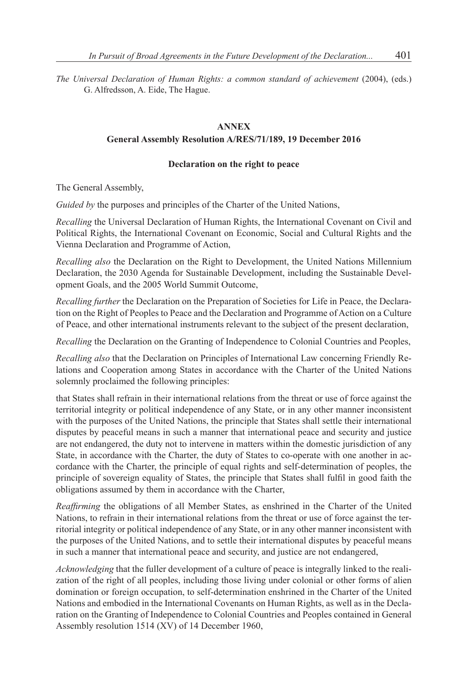*The Universal Declaration of Human Rights: a common standard of achievement* (2004), (eds.) G. Alfredsson, A. Eide, The Hague.

### **ANNEX**

### **General Assembly Resolution A/RES/71/189, 19 December 2016**

### **Declaration on the right to peace**

The General Assembly,

*Guided by* the purposes and principles of the Charter of the United Nations,

*Recalling* the Universal Declaration of Human Rights, the International Covenant on Civil and Political Rights, the International Covenant on Economic, Social and Cultural Rights and the Vienna Declaration and Programme of Action,

*Recalling also* the Declaration on the Right to Development, the United Nations Millennium Declaration, the 2030 Agenda for Sustainable Development, including the Sustainable Development Goals, and the 2005 World Summit Outcome,

*Recalling further* the Declaration on the Preparation of Societies for Life in Peace, the Declaration on the Right of Peoples to Peace and the Declaration and Programme of Action on a Culture of Peace, and other international instruments relevant to the subject of the present declaration,

*Recalling* the Declaration on the Granting of Independence to Colonial Countries and Peoples,

*Recalling also* that the Declaration on Principles of International Law concerning Friendly Relations and Cooperation among States in accordance with the Charter of the United Nations solemnly proclaimed the following principles:

that States shall refrain in their international relations from the threat or use of force against the territorial integrity or political independence of any State, or in any other manner inconsistent with the purposes of the United Nations, the principle that States shall settle their international disputes by peaceful means in such a manner that international peace and security and justice are not endangered, the duty not to intervene in matters within the domestic jurisdiction of any State, in accordance with the Charter, the duty of States to co-operate with one another in accordance with the Charter, the principle of equal rights and self-determination of peoples, the principle of sovereign equality of States, the principle that States shall fulfil in good faith the obligations assumed by them in accordance with the Charter,

*Reaffirming* the obligations of all Member States, as enshrined in the Charter of the United Nations, to refrain in their international relations from the threat or use of force against the territorial integrity or political independence of any State, or in any other manner inconsistent with the purposes of the United Nations, and to settle their international disputes by peaceful means in such a manner that international peace and security, and justice are not endangered,

*Acknowledging* that the fuller development of a culture of peace is integrally linked to the realization of the right of all peoples, including those living under colonial or other forms of alien domination or foreign occupation, to self-determination enshrined in the Charter of the United Nations and embodied in the International Covenants on Human Rights, as well as in the Declaration on the Granting of Independence to Colonial Countries and Peoples contained in General Assembly resolution 1514 (XV) of 14 December 1960,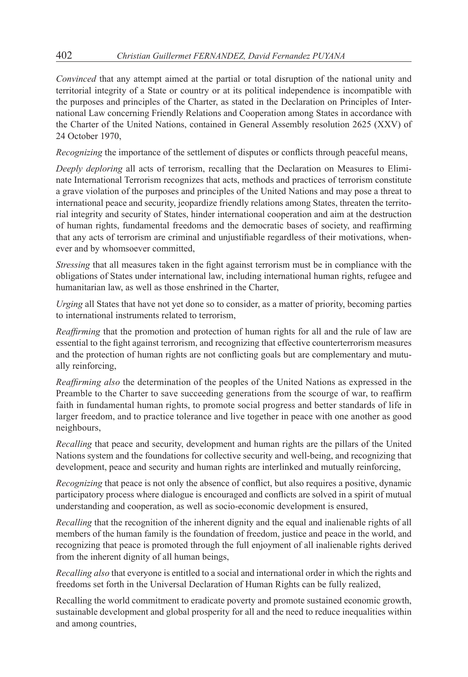*Convinced* that any attempt aimed at the partial or total disruption of the national unity and territorial integrity of a State or country or at its political independence is incompatible with the purposes and principles of the Charter, as stated in the Declaration on Principles of International Law concerning Friendly Relations and Cooperation among States in accordance with the Charter of the United Nations, contained in General Assembly resolution 2625 (XXV) of 24 October 1970,

*Recognizing* the importance of the settlement of disputes or conflicts through peaceful means,

*Deeply deploring* all acts of terrorism, recalling that the Declaration on Measures to Eliminate International Terrorism recognizes that acts, methods and practices of terrorism constitute a grave violation of the purposes and principles of the United Nations and may pose a threat to international peace and security, jeopardize friendly relations among States, threaten the territorial integrity and security of States, hinder international cooperation and aim at the destruction of human rights, fundamental freedoms and the democratic bases of society, and reaffirming that any acts of terrorism are criminal and unjustifiable regardless of their motivations, whenever and by whomsoever committed,

*Stressing* that all measures taken in the fight against terrorism must be in compliance with the obligations of States under international law, including international human rights, refugee and humanitarian law, as well as those enshrined in the Charter,

*Urging* all States that have not yet done so to consider, as a matter of priority, becoming parties to international instruments related to terrorism,

*Reaffirming* that the promotion and protection of human rights for all and the rule of law are essential to the fight against terrorism, and recognizing that effective counterterrorism measures and the protection of human rights are not conflicting goals but are complementary and mutually reinforcing,

*Reaffirming also* the determination of the peoples of the United Nations as expressed in the Preamble to the Charter to save succeeding generations from the scourge of war, to reaffirm faith in fundamental human rights, to promote social progress and better standards of life in larger freedom, and to practice tolerance and live together in peace with one another as good neighbours,

*Recalling* that peace and security, development and human rights are the pillars of the United Nations system and the foundations for collective security and well-being, and recognizing that development, peace and security and human rights are interlinked and mutually reinforcing,

*Recognizing* that peace is not only the absence of conflict, but also requires a positive, dynamic participatory process where dialogue is encouraged and conflicts are solved in a spirit of mutual understanding and cooperation, as well as socio-economic development is ensured,

*Recalling* that the recognition of the inherent dignity and the equal and inalienable rights of all members of the human family is the foundation of freedom, justice and peace in the world, and recognizing that peace is promoted through the full enjoyment of all inalienable rights derived from the inherent dignity of all human beings,

*Recalling also* that everyone is entitled to a social and international order in which the rights and freedoms set forth in the Universal Declaration of Human Rights can be fully realized,

Recalling the world commitment to eradicate poverty and promote sustained economic growth, sustainable development and global prosperity for all and the need to reduce inequalities within and among countries,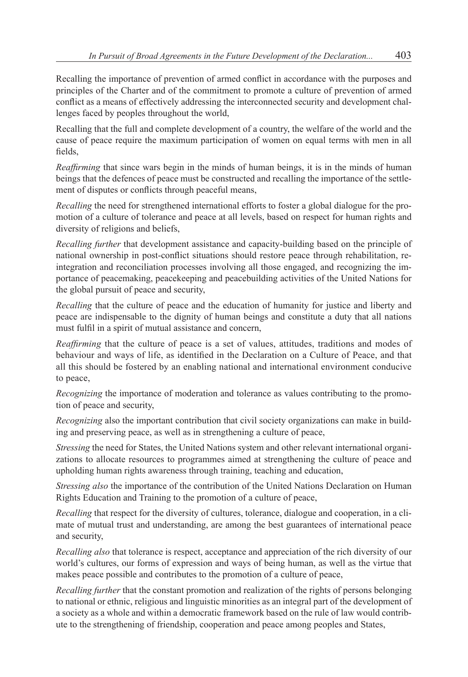Recalling the importance of prevention of armed conflict in accordance with the purposes and principles of the Charter and of the commitment to promote a culture of prevention of armed conflict as a means of effectively addressing the interconnected security and development challenges faced by peoples throughout the world,

Recalling that the full and complete development of a country, the welfare of the world and the cause of peace require the maximum participation of women on equal terms with men in all fields,

*Reaffirming* that since wars begin in the minds of human beings, it is in the minds of human beings that the defences of peace must be constructed and recalling the importance of the settlement of disputes or conflicts through peaceful means,

*Recalling* the need for strengthened international efforts to foster a global dialogue for the promotion of a culture of tolerance and peace at all levels, based on respect for human rights and diversity of religions and beliefs,

*Recalling further* that development assistance and capacity-building based on the principle of national ownership in post-conflict situations should restore peace through rehabilitation, reintegration and reconciliation processes involving all those engaged, and recognizing the importance of peacemaking, peacekeeping and peacebuilding activities of the United Nations for the global pursuit of peace and security,

*Recalling* that the culture of peace and the education of humanity for justice and liberty and peace are indispensable to the dignity of human beings and constitute a duty that all nations must fulfil in a spirit of mutual assistance and concern,

*Reaffirming* that the culture of peace is a set of values, attitudes, traditions and modes of behaviour and ways of life, as identified in the Declaration on a Culture of Peace, and that all this should be fostered by an enabling national and international environment conducive to peace,

*Recognizing* the importance of moderation and tolerance as values contributing to the promotion of peace and security,

*Recognizing* also the important contribution that civil society organizations can make in building and preserving peace, as well as in strengthening a culture of peace,

*Stressing* the need for States, the United Nations system and other relevant international organizations to allocate resources to programmes aimed at strengthening the culture of peace and upholding human rights awareness through training, teaching and education,

*Stressing also* the importance of the contribution of the United Nations Declaration on Human Rights Education and Training to the promotion of a culture of peace,

*Recalling* that respect for the diversity of cultures, tolerance, dialogue and cooperation, in a climate of mutual trust and understanding, are among the best guarantees of international peace and security,

*Recalling also* that tolerance is respect, acceptance and appreciation of the rich diversity of our world's cultures, our forms of expression and ways of being human, as well as the virtue that makes peace possible and contributes to the promotion of a culture of peace,

*Recalling further* that the constant promotion and realization of the rights of persons belonging to national or ethnic, religious and linguistic minorities as an integral part of the development of a society as a whole and within a democratic framework based on the rule of law would contribute to the strengthening of friendship, cooperation and peace among peoples and States,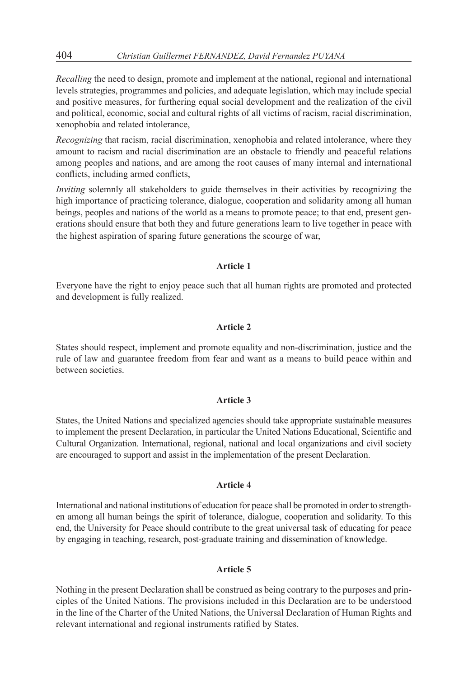*Recalling* the need to design, promote and implement at the national, regional and international levels strategies, programmes and policies, and adequate legislation, which may include special and positive measures, for furthering equal social development and the realization of the civil and political, economic, social and cultural rights of all victims of racism, racial discrimination, xenophobia and related intolerance,

*Recognizing* that racism, racial discrimination, xenophobia and related intolerance, where they amount to racism and racial discrimination are an obstacle to friendly and peaceful relations among peoples and nations, and are among the root causes of many internal and international conflicts, including armed conflicts,

*Inviting* solemnly all stakeholders to guide themselves in their activities by recognizing the high importance of practicing tolerance, dialogue, cooperation and solidarity among all human beings, peoples and nations of the world as a means to promote peace; to that end, present generations should ensure that both they and future generations learn to live together in peace with the highest aspiration of sparing future generations the scourge of war,

#### **Article 1**

Everyone have the right to enjoy peace such that all human rights are promoted and protected and development is fully realized.

#### **Article 2**

States should respect, implement and promote equality and non-discrimination, justice and the rule of law and guarantee freedom from fear and want as a means to build peace within and between societies.

#### **Article 3**

States, the United Nations and specialized agencies should take appropriate sustainable measures to implement the present Declaration, in particular the United Nations Educational, Scientific and Cultural Organization. International, regional, national and local organizations and civil society are encouraged to support and assist in the implementation of the present Declaration.

#### **Article 4**

International and national institutions of education for peace shall be promoted in order to strengthen among all human beings the spirit of tolerance, dialogue, cooperation and solidarity. To this end, the University for Peace should contribute to the great universal task of educating for peace by engaging in teaching, research, post-graduate training and dissemination of knowledge.

### **Article 5**

Nothing in the present Declaration shall be construed as being contrary to the purposes and principles of the United Nations. The provisions included in this Declaration are to be understood in the line of the Charter of the United Nations, the Universal Declaration of Human Rights and relevant international and regional instruments ratified by States.